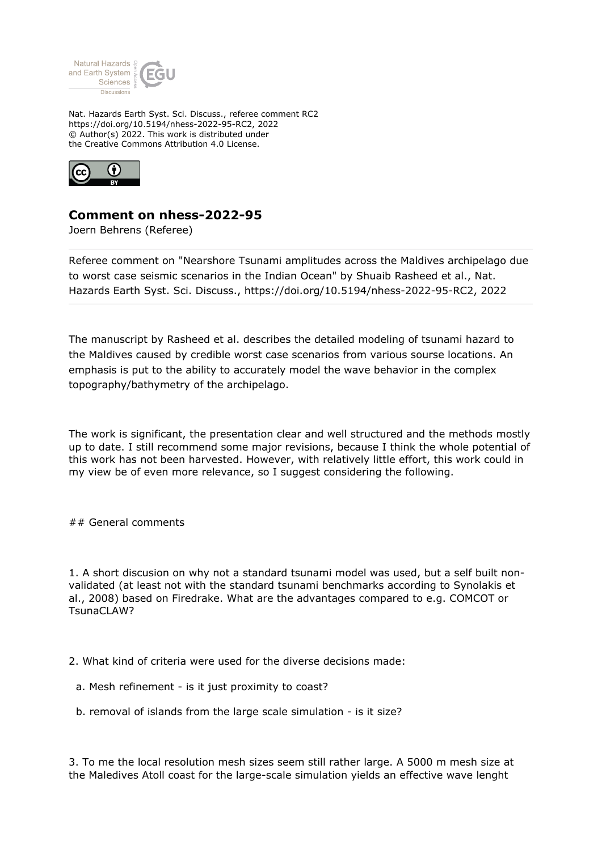

Nat. Hazards Earth Syst. Sci. Discuss., referee comment RC2 https://doi.org/10.5194/nhess-2022-95-RC2, 2022 © Author(s) 2022. This work is distributed under the Creative Commons Attribution 4.0 License.



## **Comment on nhess-2022-95**

Joern Behrens (Referee)

Referee comment on "Nearshore Tsunami amplitudes across the Maldives archipelago due to worst case seismic scenarios in the Indian Ocean" by Shuaib Rasheed et al., Nat. Hazards Earth Syst. Sci. Discuss., https://doi.org/10.5194/nhess-2022-95-RC2, 2022

The manuscript by Rasheed et al. describes the detailed modeling of tsunami hazard to the Maldives caused by credible worst case scenarios from various sourse locations. An emphasis is put to the ability to accurately model the wave behavior in the complex topography/bathymetry of the archipelago.

The work is significant, the presentation clear and well structured and the methods mostly up to date. I still recommend some major revisions, because I think the whole potential of this work has not been harvested. However, with relatively little effort, this work could in my view be of even more relevance, so I suggest considering the following.

## General comments

1. A short discusion on why not a standard tsunami model was used, but a self built nonvalidated (at least not with the standard tsunami benchmarks according to Synolakis et al., 2008) based on Firedrake. What are the advantages compared to e.g. COMCOT or TsunaCLAW?

2. What kind of criteria were used for the diverse decisions made:

- a. Mesh refinement is it just proximity to coast?
- b. removal of islands from the large scale simulation is it size?

3. To me the local resolution mesh sizes seem still rather large. A 5000 m mesh size at the Maledives Atoll coast for the large-scale simulation yields an effective wave lenght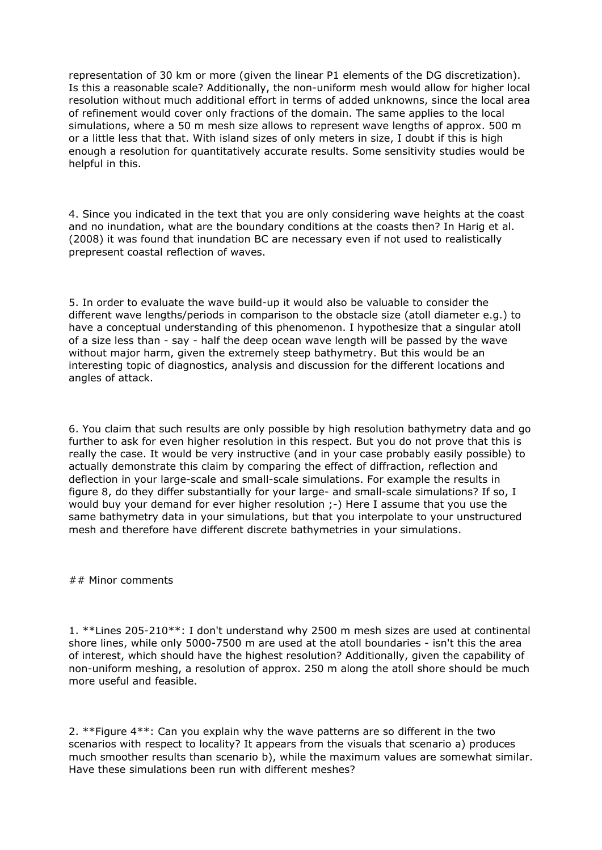representation of 30 km or more (given the linear P1 elements of the DG discretization). Is this a reasonable scale? Additionally, the non-uniform mesh would allow for higher local resolution without much additional effort in terms of added unknowns, since the local area of refinement would cover only fractions of the domain. The same applies to the local simulations, where a 50 m mesh size allows to represent wave lengths of approx. 500 m or a little less that that. With island sizes of only meters in size, I doubt if this is high enough a resolution for quantitatively accurate results. Some sensitivity studies would be helpful in this.

4. Since you indicated in the text that you are only considering wave heights at the coast and no inundation, what are the boundary conditions at the coasts then? In Harig et al. (2008) it was found that inundation BC are necessary even if not used to realistically prepresent coastal reflection of waves.

5. In order to evaluate the wave build-up it would also be valuable to consider the different wave lengths/periods in comparison to the obstacle size (atoll diameter e.g.) to have a conceptual understanding of this phenomenon. I hypothesize that a singular atoll of a size less than - say - half the deep ocean wave length will be passed by the wave without major harm, given the extremely steep bathymetry. But this would be an interesting topic of diagnostics, analysis and discussion for the different locations and angles of attack.

6. You claim that such results are only possible by high resolution bathymetry data and go further to ask for even higher resolution in this respect. But you do not prove that this is really the case. It would be very instructive (and in your case probably easily possible) to actually demonstrate this claim by comparing the effect of diffraction, reflection and deflection in your large-scale and small-scale simulations. For example the results in figure 8, do they differ substantially for your large- and small-scale simulations? If so, I would buy your demand for ever higher resolution ;-) Here I assume that you use the same bathymetry data in your simulations, but that you interpolate to your unstructured mesh and therefore have different discrete bathymetries in your simulations.

## Minor comments

1. \*\*Lines 205-210\*\*: I don't understand why 2500 m mesh sizes are used at continental shore lines, while only 5000-7500 m are used at the atoll boundaries - isn't this the area of interest, which should have the highest resolution? Additionally, given the capability of non-uniform meshing, a resolution of approx. 250 m along the atoll shore should be much more useful and feasible.

2. \*\*Figure 4\*\*: Can you explain why the wave patterns are so different in the two scenarios with respect to locality? It appears from the visuals that scenario a) produces much smoother results than scenario b), while the maximum values are somewhat similar. Have these simulations been run with different meshes?